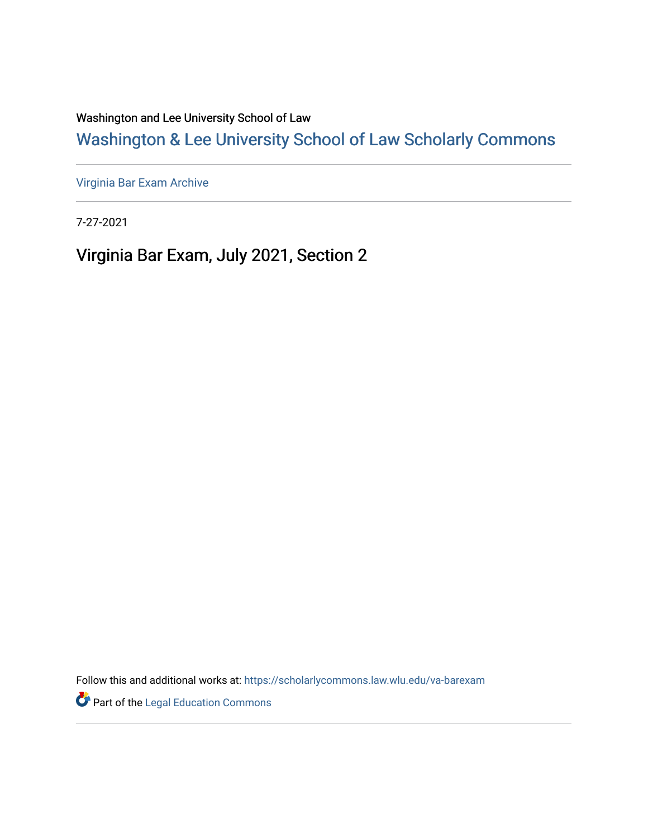Washington and Lee University School of Law

[Washington & Lee University School of Law Scholarly Commons](https://scholarlycommons.law.wlu.edu/) 

[Virginia Bar Exam Archive](https://scholarlycommons.law.wlu.edu/va-barexam)

7-27-2021

Virginia Bar Exam, July 2021, Section 2

Follow this and additional works at: [https://scholarlycommons.law.wlu.edu/va-barexam](https://scholarlycommons.law.wlu.edu/va-barexam?utm_source=scholarlycommons.law.wlu.edu%2Fva-barexam%2F212&utm_medium=PDF&utm_campaign=PDFCoverPages) 

**Part of the Legal Education Commons**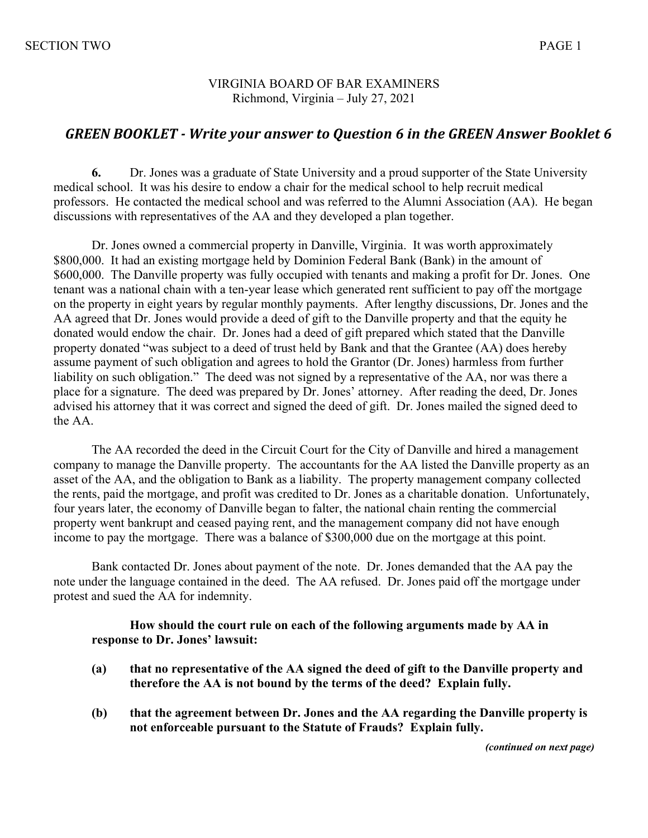## VIRGINIA BOARD OF BAR EXAMINERS Richmond, Virginia – July 27, 2021

## GREEN BOOKLET - Write your answer to Question 6 in the GREEN Answer Booklet 6

**6.** Dr. Jones was a graduate of State University and a proud supporter of the State University medical school. It was his desire to endow a chair for the medical school to help recruit medical professors. He contacted the medical school and was referred to the Alumni Association (AA). He began discussions with representatives of the AA and they developed a plan together.

Dr. Jones owned a commercial property in Danville, Virginia. It was worth approximately \$800,000. It had an existing mortgage held by Dominion Federal Bank (Bank) in the amount of \$600,000. The Danville property was fully occupied with tenants and making a profit for Dr. Jones. One tenant was a national chain with a ten-year lease which generated rent sufficient to pay off the mortgage on the property in eight years by regular monthly payments. After lengthy discussions, Dr. Jones and the AA agreed that Dr. Jones would provide a deed of gift to the Danville property and that the equity he donated would endow the chair. Dr. Jones had a deed of gift prepared which stated that the Danville property donated "was subject to a deed of trust held by Bank and that the Grantee (AA) does hereby assume payment of such obligation and agrees to hold the Grantor (Dr. Jones) harmless from further liability on such obligation." The deed was not signed by a representative of the AA, nor was there a place for a signature. The deed was prepared by Dr. Jones' attorney. After reading the deed, Dr. Jones advised his attorney that it was correct and signed the deed of gift. Dr. Jones mailed the signed deed to the AA.

The AA recorded the deed in the Circuit Court for the City of Danville and hired a management company to manage the Danville property. The accountants for the AA listed the Danville property as an asset of the AA, and the obligation to Bank as a liability. The property management company collected the rents, paid the mortgage, and profit was credited to Dr. Jones as a charitable donation. Unfortunately, four years later, the economy of Danville began to falter, the national chain renting the commercial property went bankrupt and ceased paying rent, and the management company did not have enough income to pay the mortgage. There was a balance of \$300,000 due on the mortgage at this point.

Bank contacted Dr. Jones about payment of the note. Dr. Jones demanded that the AA pay the note under the language contained in the deed. The AA refused. Dr. Jones paid off the mortgage under protest and sued the AA for indemnity.

### **How should the court rule on each of the following arguments made by AA in response to Dr. Jones' lawsuit:**

- **(a) that no representative of the AA signed the deed of gift to the Danville property and therefore the AA is not bound by the terms of the deed? Explain fully.**
- **(b) that the agreement between Dr. Jones and the AA regarding the Danville property is not enforceable pursuant to the Statute of Frauds? Explain fully.**

*(continued on next page)*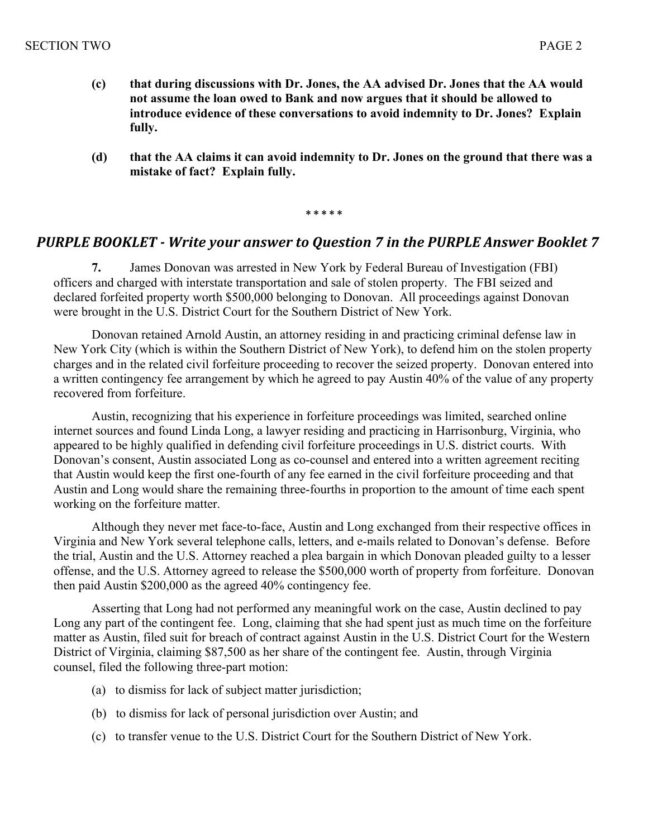- **(c) that during discussions with Dr. Jones, the AA advised Dr. Jones that the AA would not assume the loan owed to Bank and now argues that it should be allowed to introduce evidence of these conversations to avoid indemnity to Dr. Jones? Explain fully.**
- **(d) that the AA claims it can avoid indemnity to Dr. Jones on the ground that there was a mistake of fact? Explain fully.**

#### **\* \* \* \* \***

# **PURPLE BOOKLET** - Write your answer to Question 7 in the PURPLE Answer Booklet 7

**7.** James Donovan was arrested in New York by Federal Bureau of Investigation (FBI) officers and charged with interstate transportation and sale of stolen property. The FBI seized and declared forfeited property worth \$500,000 belonging to Donovan. All proceedings against Donovan were brought in the U.S. District Court for the Southern District of New York.

Donovan retained Arnold Austin, an attorney residing in and practicing criminal defense law in New York City (which is within the Southern District of New York), to defend him on the stolen property charges and in the related civil forfeiture proceeding to recover the seized property. Donovan entered into a written contingency fee arrangement by which he agreed to pay Austin 40% of the value of any property recovered from forfeiture.

Austin, recognizing that his experience in forfeiture proceedings was limited, searched online internet sources and found Linda Long, a lawyer residing and practicing in Harrisonburg, Virginia, who appeared to be highly qualified in defending civil forfeiture proceedings in U.S. district courts. With Donovan's consent, Austin associated Long as co-counsel and entered into a written agreement reciting that Austin would keep the first one-fourth of any fee earned in the civil forfeiture proceeding and that Austin and Long would share the remaining three-fourths in proportion to the amount of time each spent working on the forfeiture matter.

Although they never met face-to-face, Austin and Long exchanged from their respective offices in Virginia and New York several telephone calls, letters, and e-mails related to Donovan's defense. Before the trial, Austin and the U.S. Attorney reached a plea bargain in which Donovan pleaded guilty to a lesser offense, and the U.S. Attorney agreed to release the \$500,000 worth of property from forfeiture. Donovan then paid Austin \$200,000 as the agreed 40% contingency fee.

Asserting that Long had not performed any meaningful work on the case, Austin declined to pay Long any part of the contingent fee. Long, claiming that she had spent just as much time on the forfeiture matter as Austin, filed suit for breach of contract against Austin in the U.S. District Court for the Western District of Virginia, claiming \$87,500 as her share of the contingent fee. Austin, through Virginia counsel, filed the following three-part motion:

- (a) to dismiss for lack of subject matter jurisdiction;
- (b) to dismiss for lack of personal jurisdiction over Austin; and
- (c) to transfer venue to the U.S. District Court for the Southern District of New York.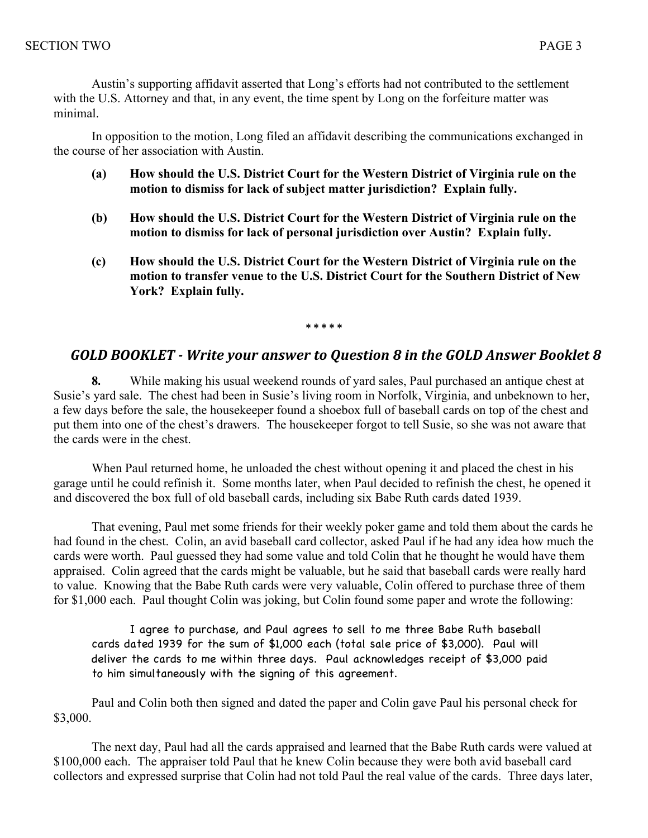Austin's supporting affidavit asserted that Long's efforts had not contributed to the settlement with the U.S. Attorney and that, in any event, the time spent by Long on the forfeiture matter was minimal.

In opposition to the motion, Long filed an affidavit describing the communications exchanged in the course of her association with Austin.

- **(a) How should the U.S. District Court for the Western District of Virginia rule on the motion to dismiss for lack of subject matter jurisdiction? Explain fully.**
- **(b) How should the U.S. District Court for the Western District of Virginia rule on the motion to dismiss for lack of personal jurisdiction over Austin? Explain fully.**
- **(c) How should the U.S. District Court for the Western District of Virginia rule on the motion to transfer venue to the U.S. District Court for the Southern District of New York? Explain fully.**

#### **\* \* \* \* \***

## GOLD BOOKLET - Write your answer to Question 8 in the GOLD Answer Booklet 8

**8.** While making his usual weekend rounds of yard sales, Paul purchased an antique chest at Susie's yard sale. The chest had been in Susie's living room in Norfolk, Virginia, and unbeknown to her, a few days before the sale, the housekeeper found a shoebox full of baseball cards on top of the chest and put them into one of the chest's drawers. The housekeeper forgot to tell Susie, so she was not aware that the cards were in the chest.

When Paul returned home, he unloaded the chest without opening it and placed the chest in his garage until he could refinish it. Some months later, when Paul decided to refinish the chest, he opened it and discovered the box full of old baseball cards, including six Babe Ruth cards dated 1939.

That evening, Paul met some friends for their weekly poker game and told them about the cards he had found in the chest. Colin, an avid baseball card collector, asked Paul if he had any idea how much the cards were worth. Paul guessed they had some value and told Colin that he thought he would have them appraised. Colin agreed that the cards might be valuable, but he said that baseball cards were really hard to value. Knowing that the Babe Ruth cards were very valuable, Colin offered to purchase three of them for \$1,000 each. Paul thought Colin was joking, but Colin found some paper and wrote the following:

I agree to purchase, and Paul agrees to sell to me three Babe Ruth baseball cards dated 1939 for the sum of \$1,000 each (total sale price of \$3,000). Paul will deliver the cards to me within three days. Paul acknowledges receipt of \$3,000 paid to him simultaneously with the signing of this agreement.

Paul and Colin both then signed and dated the paper and Colin gave Paul his personal check for \$3,000.

The next day, Paul had all the cards appraised and learned that the Babe Ruth cards were valued at \$100,000 each. The appraiser told Paul that he knew Colin because they were both avid baseball card collectors and expressed surprise that Colin had not told Paul the real value of the cards. Three days later,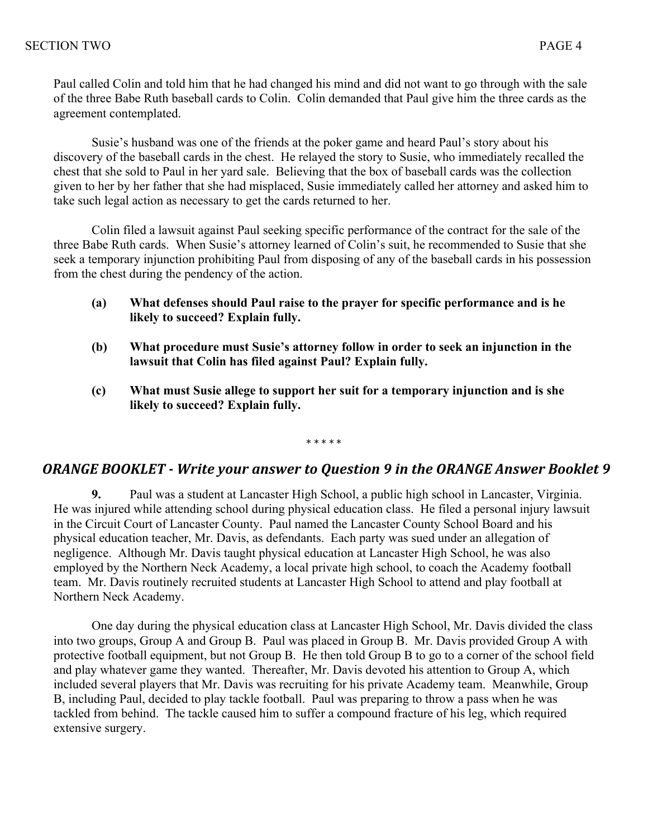Paul called Colin and told him that he had changed his mind and did not want to go through with the sale of the three Babe Ruth baseball cards to Colin. Colin demanded that Paul give him the three cards as the agreement contemplated.

Susie's husband was one of the friends at the poker game and heard Paul's story about his discovery of the baseball cards in the chest. He relayed the story to Susie, who immediately recalled the chest that she sold to Paul in her yard sale. Believing that the box of baseball cards was the collection given to her by her father that she had misplaced, Susie immediately called her attorney and asked him to take such legal action as necessary to get the cards returned to her.

Colin filed a lawsuit against Paul seeking specific performance of the contract for the sale of the three Babe Ruth cards. When Susie's attorney learned of Colin's suit, he recommended to Susie that she seek a temporary injunction prohibiting Paul from disposing of any of the baseball cards in his possession from the chest during the pendency of the action.

- **(a) What defenses should Paul raise to the prayer for specific performance and is he likely to succeed? Explain fully.**
- **(b) What procedure must Susie's attorney follow in order to seek an injunction in the lawsuit that Colin has filed against Paul? Explain fully.**
- **(c) What must Susie allege to support her suit for a temporary injunction and is she likely to succeed? Explain fully.**

\* \* \* \* \*

## **ORANGE BOOKLET** - Write your answer to Question 9 in the ORANGE Answer Booklet 9

**9.** Paul was a student at Lancaster High School, a public high school in Lancaster, Virginia. He was injured while attending school during physical education class. He filed a personal injury lawsuit in the Circuit Court of Lancaster County. Paul named the Lancaster County School Board and his physical education teacher, Mr. Davis, as defendants. Each party was sued under an allegation of negligence. Although Mr. Davis taught physical education at Lancaster High School, he was also employed by the Northern Neck Academy, a local private high school, to coach the Academy football team. Mr. Davis routinely recruited students at Lancaster High School to attend and play football at Northern Neck Academy.

One day during the physical education class at Lancaster High School, Mr. Davis divided the class into two groups, Group A and Group B. Paul was placed in Group B. Mr. Davis provided Group A with protective football equipment, but not Group B. He then told Group B to go to a corner of the school field and play whatever game they wanted. Thereafter, Mr. Davis devoted his attention to Group A, which included several players that Mr. Davis was recruiting for his private Academy team. Meanwhile, Group B, including Paul, decided to play tackle football. Paul was preparing to throw a pass when he was tackled from behind. The tackle caused him to suffer a compound fracture of his leg, which required extensive surgery.